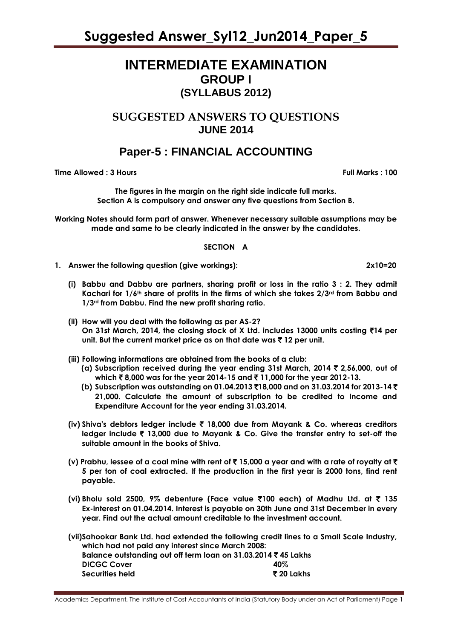# **INTERMEDIATE EXAMINATION GROUP I (SYLLABUS 2012)**

# **SUGGESTED ANSWERS TO QUESTIONS JUNE 2014**

# **Paper-5 : FINANCIAL ACCOUNTING**

**Time Allowed : 3 Hours Full Marks Full Marks : 100** 

**The figures in the margin on the right side indicate full marks. Section A is compulsory and answer any five questions from Section B.**

**Working Notes should form part of answer. Whenever necessary suitable assumptions may be made and same to be clearly indicated in the answer by the candidates.** 

## **SECTION A**

- **1. Answer the following question (give workings): 2x10=20**
	- **(i) Babbu and Dabbu are partners, sharing profit or loss in the ratio 3 : 2. They admit Kachari for 1/6th share of profits in the firms of which she takes 2/3rd from Babbu and 1/3rd from Dabbu. Find the new profit sharing ratio.**
	- **(ii) How will you deal with the following as per AS-2? On 31st March, 2014, the closing stock of X Ltd. includes 13000 units costing** `**14 per unit. But the current market price as on that date was** ` **12 per unit.**
	- **(iii) Following informations are obtained from the books of a club:**
		- **(a) Subscription received during the year ending 31st March, 2014** ` **2,56,000, out of which** ` **8,000 was for the year 2014-15 and** ` **11,000 for the year 2012-13.**
		- **(b) Subscription was outstanding on 01.04.2013** `**18,000 and on 31.03.2014 for 2013-14** ` **21,000. Calculate the amount of subscription to be credited to Income and Expenditure Account for the year ending 31.03.2014.**
	- **(iv) Shiva's debtors ledger include** ` **18,000 due from Mayank & Co. whereas creditors ledger include** ` **13,000 due to Mayank & Co. Give the transfer entry to set-off the suitable amount in the books of Shiva.**
	- **(v) Prabhu, lessee of a coal mine with rent of** ` **15,000 a year and with a rate of royalty at** ` **5 per ton of coal extracted. If the production in the first year is 2000 tons, find rent payable.**
	- **(vi) Bholu sold 2500, 9% debenture (Face value** `**100 each) of Madhu Ltd. at** ` **135 Ex-interest on 01.04.2014. Interest is payable on 30th June and 31st December in every year. Find out the actual amount creditable to the investment account.**
	- **(vii)Sahookar Bank Ltd. had extended the following credit lines to a Small Scale Industry, which had not paid any interest since March 2008: Balance outstanding out off term loan on 31.03.2014** ` **45 Lakhs DICGC Cover 40% Securities held** ` **20 Lakhs**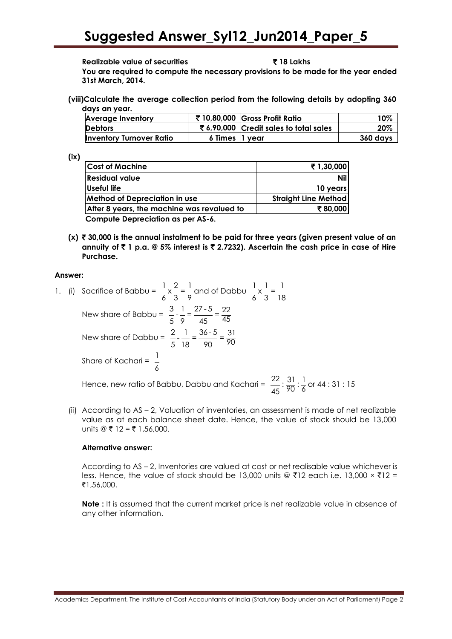#### **Realizable value of securities** ` **18 Lakhs**

**You are required to compute the necessary provisions to be made for the year ended 31st March, 2014.**

**(viii)Calculate the average collection period from the following details by adopting 360 days an year.**

| <b>Average Inventory</b>        |                | ₹ 10,80,000 Gross Profit Ratio        | 10%      |
|---------------------------------|----------------|---------------------------------------|----------|
| <b>Debtors</b>                  |                | ₹6,90,000 Credit sales to total sales | 20%      |
| <b>Inventory Turnover Ratio</b> | 6 Times 1 year |                                       | 360 days |

**(ix)**

| <b>Cost of Machine</b>                     | ₹1,30,000                   |
|--------------------------------------------|-----------------------------|
| <b>Residual value</b>                      | <b>Nil</b>                  |
| Useful life                                | 10 years                    |
| <b>Method of Depreciation in use</b>       | <b>Straight Line Method</b> |
| After 8 years, the machine was revalued to | ₹80.000                     |
| <b>Compute Depreciation as per AS-6.</b>   |                             |

**(x)** ` **30,000 is the annual instalment to be paid for three years (given present value of an annuity of** ` **1 p.a. @ 5% interest is** ` **2.7232). Ascertain the cash price in case of Hire Purchase.**

## **Answer:**

- 1. (i) Sacrifice of Babbu =  $\frac{1}{2} \times \frac{2}{1} = \frac{1}{2}$ 6 3 9 and of Dabbu  $\begin{array}{c} 1 & 1 \\ -x & -\end{array}$ 6 3 18 New share of Babbu =  $\frac{3}{5} \cdot \frac{1}{9} = \frac{27 \cdot 5}{45} = \frac{22}{45}$ New share of Dabbu =  $\frac{2}{1} - \frac{1}{1} = \frac{36 - 5}{20} = \frac{31}{20}$  $\frac{1}{5}$   $\frac{1}{8}$   $\frac{1}{90}$   $\frac{90}{90}$ Share of Kachari =  $\frac{1}{1}$ 6 Hence, new ratio of Babbu, Dabbu and Kachari =  $\frac{22}{45}$ :  $\frac{31}{90}$ :  $\frac{1}{6}$  or 44 : 31 : 15
	- (ii) According to AS 2, Valuation of inventories, an assessment is made of net realizable value as at each balance sheet date. Hence, the value of stock should be 13,000 units  $@ \t{F} 12 = ₹ 1,56,000$ .

## **Alternative answer:**

According to AS – 2, Inventories are valued at cost or net realisable value whichever is less. Hence, the value of stock should be 13,000 units @ ₹12 each i.e. 13,000  $\times$  ₹12 = ₹1,56,000.

**Note :** It is assumed that the current market price is net realizable value in absence of any other information.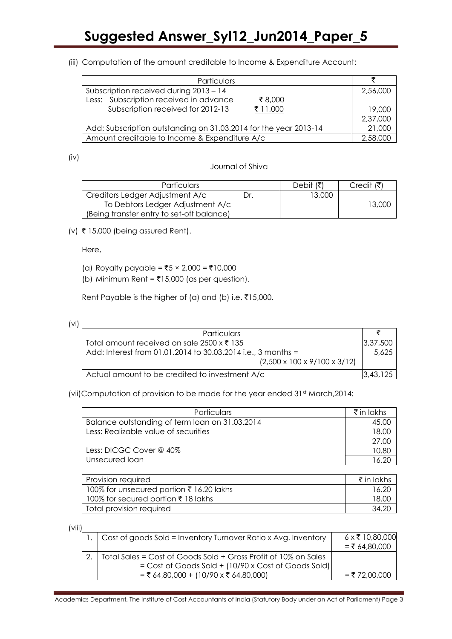(iii) Computation of the amount creditable to Income & Expenditure Account:

| Particulars                                                      |          |
|------------------------------------------------------------------|----------|
| Subscription received during 2013 - 14                           |          |
| Less: Subscription received in advance<br>₹8,000                 |          |
| Subscription received for 2012-13<br>₹ 11,000                    | 19,000   |
|                                                                  | 2,37,000 |
| Add: Subscription outstanding on 31.03.2014 for the year 2013-14 |          |
| Amount creditable to Income & Expenditure A/c                    |          |

(iv)

# Journal of Shiva

| <b>Particulars</b>                        |    | Debit  | Credit (₹ |
|-------------------------------------------|----|--------|-----------|
| Creditors Ledger Adjustment A/c           | r. | 13,000 |           |
| To Debtors Ledger Adjustment A/c          |    |        | 13,000    |
| (Being transfer entry to set-off balance) |    |        |           |

 $(v)$  ₹ 15,000 (being assured Rent).

Here,

- (a) Royalty payable =  $\bar{z}$ 5 × 2,000 = ₹10,000
- (b) Minimum Rent =  $\overline{3}15,000$  (as per question).

Rent Payable is the higher of (a) and (b) i.e.  $\bar{z}$ 15,000.

<sup>(</sup>vi)

| Particulars                                                  |          |
|--------------------------------------------------------------|----------|
| Total amount received on sale 2500 x ₹ 135                   | 3,37,500 |
| Add: Interest from 01.01.2014 to 30.03.2014 i.e., 3 months = |          |
| $(2,500 \times 100 \times 9/100 \times 3/12)$                |          |
| Actual amount to be credited to investment A/c               | 3,43,125 |

(vii)Computation of provision to be made for the year ended 31<sup>st</sup> March, 2014:

| Particulars                                    | ₹ in lakhs |
|------------------------------------------------|------------|
| Balance outstanding of term loan on 31.03.2014 | 45.00      |
| Less: Realizable value of securities           | 18.00      |
|                                                | 27.00      |
| Less: DICGC Cover @ 40%                        | 10.8C      |
| Unsecured loan                                 |            |

| Provision required                       | $\bar{\tau}$ in lakhs |
|------------------------------------------|-----------------------|
| 100% for unsecured portion ₹ 16.20 lakhs | 16.20                 |
| 100% for secured portion ₹ 18 lakhs      | 18 OC                 |
| Total provision required                 | $-34.2$               |

(viii)

| 1. $\vert$ Cost of goods Sold = Inventory Turnover Ratio x Avg. Inventory                                                                                           | $6 \times \overline{5}$ 10,80,000<br>= ₹ 64,80,000 |
|---------------------------------------------------------------------------------------------------------------------------------------------------------------------|----------------------------------------------------|
| Total Sales = Cost of Goods Sold + Gross Profit of 10% on Sales<br>$=$ Cost of Goods Sold + (10/90 x Cost of Goods Sold)<br>$=$ ₹ 64,80,000 + (10/90 x ₹ 64,80,000) | $= ₹72,00,000$                                     |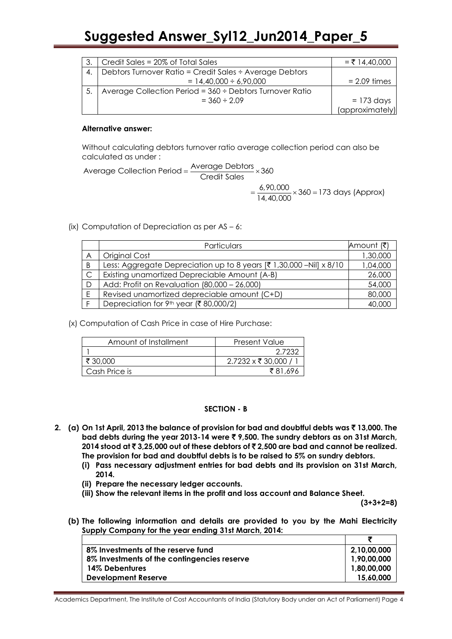|    | Credit Sales = 20% of Total Sales                        | $= ₹ 14,40,000$ |
|----|----------------------------------------------------------|-----------------|
| 4. | Debtors Turnover Ratio = Credit Sales ÷ Average Debtors  |                 |
|    | $= 14,40,000 \div 6,90,000$                              | $= 2.09$ times  |
|    | Average Collection Period = 360 ÷ Debtors Turnover Ratio |                 |
|    | $= 360 \div 2.09$                                        | $= 173$ days    |
|    |                                                          | (approximately) |

## **Alternative answer:**

Without calculating debtors turnover ratio average collection period can also be calculated as under :

 $\alpha$  calculated as under :<br>Average Collection Period =  $\frac{\text{Average Debors}}{\text{Credit Sales}} \times 360$  $=$   $\frac{6,90,000}{14,40,000}$   $\times$  360 = 173 days (Approx)

(ix) Computation of Depreciation as per AS – 6:

|                | Particulars                                                                    | Amount (₹) |
|----------------|--------------------------------------------------------------------------------|------------|
| A              | Original Cost                                                                  | 1,30,000   |
| B              | Less: Aggregate Depreciation up to 8 years $[3, 1, 30, 000 - Nil] \times 8/10$ | 1,04,000   |
| $\overline{C}$ | Existing unamortized Depreciable Amount (A-B)                                  | 26,000     |
| . D            | Add: Profit on Revaluation (80,000 - 26,000)                                   | 54,000     |
| E              | Revised unamortized depreciable amount (C+D)                                   | 80,000     |
|                | Depreciation for 9 <sup>th</sup> year (₹80,000/2)                              | 40,000     |

(x) Computation of Cash Price in case of Hire Purchase:

| Amount of Installment | <b>Present Value</b>         |
|-----------------------|------------------------------|
|                       | 2.7232                       |
| ₹ 30.000              | $2.7232 \times \xi$ 30,000 / |
| Cash Price is         | ₹81.696                      |

# **SECTION - B**

- **2. (a) On 1st April, 2013 the balance of provision for bad and doubtful debts was** ` **13,000. The bad debts during the year 2013-14 were** ` **9,500. The sundry debtors as on 31st March, 2014 stood at** ` **3,25,000 out of these debtors of** ` **2,500 are bad and cannot be realized. The provision for bad and doubtful debts is to be raised to 5% on sundry debtors.**
	- **(i) Pass necessary adjustment entries for bad debts and its provision on 31st March, 2014.**
	- **(ii) Prepare the necessary ledger accounts.**
	- **(iii) Show the relevant items in the profit and loss account and Balance Sheet.**

**(3+3+2=8)**

**(b) The following information and details are provided to you by the Mahi Electricity Supply Company for the year ending 31st March, 2014:**

| 8% Investments of the reserve fund          | 2,10,00,000 |
|---------------------------------------------|-------------|
| 8% Investments of the contingencies reserve | 1,90,00,000 |
| 14% Debentures                              | 1,80,00,000 |
| <b>Development Reserve</b>                  | 15,60,000   |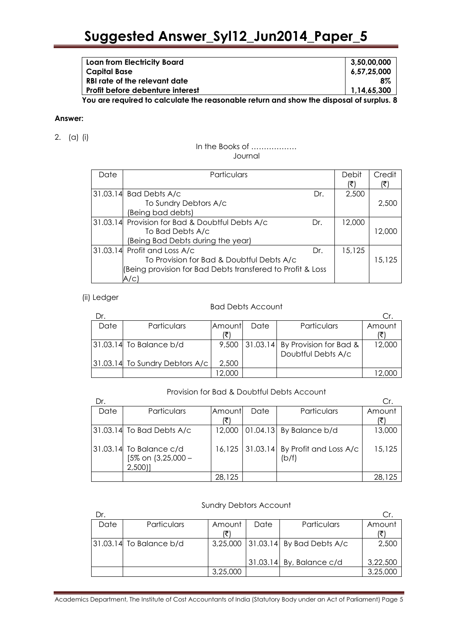| Loan from Electricity Board                                                                                            | 3,50,00,000 |
|------------------------------------------------------------------------------------------------------------------------|-------------|
| Capital Base                                                                                                           | 6,57,25,000 |
| RBI rate of the relevant date                                                                                          | $8\%$       |
| <b>Profit before debenture interest</b>                                                                                | 1.14.65.300 |
| $\mathbf{V}$ are constructed to controlled to the construction of the control of the collection of the construction of |             |

**You are required to calculate the reasonable return and show the disposal of surplus. 8**

#### **Answer:**

2. (a) (i)

#### In the Books of ……………… Journal

| Date | Particulars                                                |     | Debit<br>(₹) | Credit<br>(₹) |
|------|------------------------------------------------------------|-----|--------------|---------------|
|      | 31.03.14 Bad Debts A/c                                     | Dr. | 2,500        |               |
|      | To Sundry Debtors A/c                                      |     |              | 2,500         |
|      | (Being bad debts)                                          |     |              |               |
|      | 31.03.14 Provision for Bad & Doubtful Debts A/c            | Dr. | 12,000       |               |
|      | To Bad Debts A/c                                           |     |              | 12.000        |
|      | (Being Bad Debts during the year)                          |     |              |               |
|      | 31.03.14 Profit and Loss A/c                               | Dr. | 15,125       |               |
|      | To Provision for Bad & Doubtful Debts A/c                  |     |              | 15,125        |
|      | (Being provision for Bad Debts transfered to Profit & Loss |     |              |               |
|      | A/c)                                                       |     |              |               |

#### (ii) Ledger

# Bad Debts Account

| Dr.  |                                  |               |      |                                         |        |
|------|----------------------------------|---------------|------|-----------------------------------------|--------|
| Date | Particulars                      | <b>Amount</b> | Date | Particulars                             | Amount |
|      |                                  |               |      |                                         |        |
|      | $ 31.03.14 $ To Balance b/d      | 9,500         |      | $\vert$ 31.03.14 By Provision for Bad & | 12,000 |
|      |                                  |               |      | Doubtful Debts A/c                      |        |
|      | [31.03.14] To Sundry Debtors A/c | 2,500         |      |                                         |        |
|      |                                  | 2,000         |      |                                         |        |

## Provision for Bad & Doubtful Debts Account

| Dr.  |                               |         |      |                                 | Cr.    |
|------|-------------------------------|---------|------|---------------------------------|--------|
| Date | Particulars                   | lAmount | Date | Particulars                     | Amount |
|      |                               |         |      |                                 |        |
|      | $ 31.03.14 $ To Bad Debts A/c | 12,000  |      | $ 01.04.13 $ By Balance b/d     | 13,000 |
|      |                               |         |      |                                 |        |
|      | 31.03.14 To Balance c/d       | 16,125  |      | 31.03.14 By Profit and Loss A/c | 15,125 |
|      | [5% on (3,25,000 -            |         |      | (b/f)                           |        |
|      | $2,500$ ]                     |         |      |                                 |        |
|      |                               | 28,125  |      |                                 | 28,125 |

#### Sundry Debtors Account

| Dr.  |                         |          |      |                                    |          |
|------|-------------------------|----------|------|------------------------------------|----------|
| Date | Particulars             | Amount   | Date | Particulars                        | Amount   |
|      |                         |          |      |                                    |          |
|      | 31.03.14 To Balance b/d |          |      | 3,25,000 31.03.14 By Bad Debts A/c | 2,500    |
|      |                         |          |      |                                    |          |
|      |                         |          |      | $31.03.14$ By, Balance c/d         | 3,22,500 |
|      |                         | 3,25,000 |      |                                    | 3,25,000 |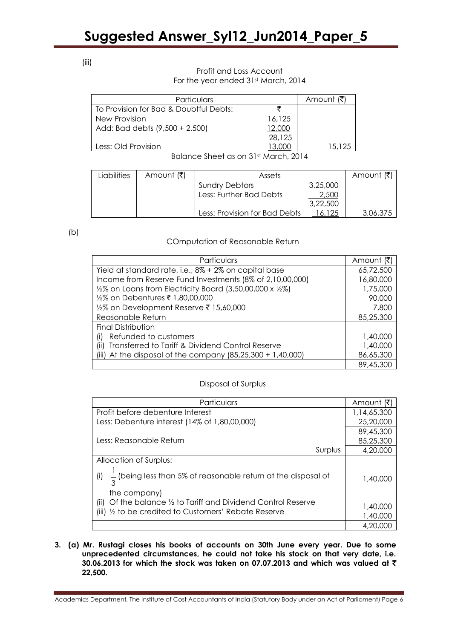(iii)

# Profit and Loss Account For the year ended 31st March, 2014

|        | Amount |
|--------|--------|
|        |        |
| 16.125 |        |
| 12,000 |        |
| 28,125 |        |
| 13,000 | 15,125 |
|        |        |

Balance Sheet as on 31st March, 2014

| Liabilities | Amount (₹) | Assets                        |          | Amount <i>!र</i> |
|-------------|------------|-------------------------------|----------|------------------|
|             |            | <b>Sundry Debtors</b>         | 3,25,000 |                  |
|             |            | Less: Further Bad Debts       | 2,500    |                  |
|             |            |                               | 3,22,500 |                  |
|             |            | Less: Provision for Bad Debts | 16.125   | 3.06.375         |

 $(b)$ 

# COmputation of Reasonable Return

| Particulars                                                                      | Amount (₹) |
|----------------------------------------------------------------------------------|------------|
| Yield at standard rate, i.e., 8% + 2% on capital base                            | 65,72,500  |
| Income from Reserve Fund Investments (8% of 2,10,00,000)                         | 16,80,000  |
| $\frac{1}{2}\%$ on Loans from Electricity Board (3,50,00,000 x $\frac{1}{2}\%$ ) | 1,75,000   |
| 1,80,00,000 1/2% on Debentures ₹ 1,80,00,000                                     | 90,000     |
| 15,60,000 15,60,000 1/2% on Development Reserve ₹                                | 7,800      |
| Reasonable Return                                                                | 85,25,300  |
| <b>Final Distribution</b>                                                        |            |
| Refunded to customers<br>(۱)                                                     | 1,40,000   |
| Transferred to Tariff & Dividend Control Reserve<br>(11)                         | 1,40,000   |
| (iii) At the disposal of the company $(85,25,300 + 1,40,000)$                    | 86,65,300  |
|                                                                                  | 89,45,300  |

# Disposal of Surplus

| Particulars                                                                                                                                         | Amount (₹)           |
|-----------------------------------------------------------------------------------------------------------------------------------------------------|----------------------|
| Profit before debenture Interest                                                                                                                    | 1,14,65,300          |
| Less: Debenture interest (14% of 1,80,00,000)                                                                                                       | 25,20,000            |
|                                                                                                                                                     | 89,45,300            |
| Less: Reasonable Return                                                                                                                             | 85,25,300            |
| Surplus                                                                                                                                             | 4,20,000             |
| Allocation of Surplus:                                                                                                                              |                      |
| (i) $\frac{1}{3}$ (being less than 5% of reasonable return at the disposal of                                                                       | 1,40,000             |
| the company)<br>Of the balance 1/2 to Tariff and Dividend Control Reserve<br>(i)<br>(iii) $\frac{1}{2}$ to be credited to Customers' Rebate Reserve | 1,40,000<br>1,40,000 |
|                                                                                                                                                     | 4,20,000             |

# **3. (a) Mr. Rustagi closes his books of accounts on 30th June every year. Due to some unprecedented circumstances, he could not take his stock on that very date, i.e. 30.06.2013 for which the stock was taken on 07.07.2013 and which was valued at** ` **22,500.**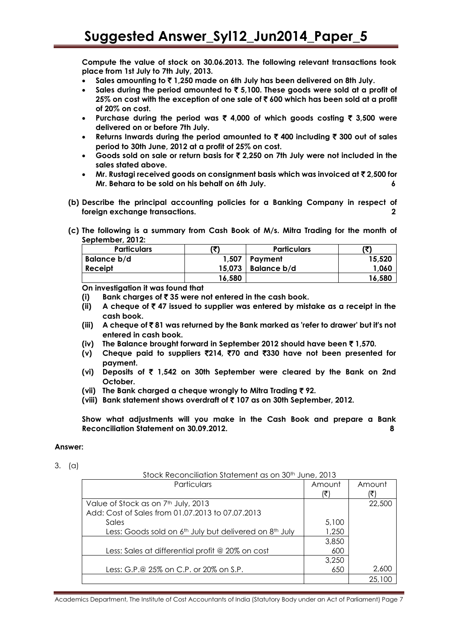**Compute the value of stock on 30.06.2013. The following relevant transactions took place from 1st July to 7th July, 2013.**

- **Sales amounting to** ` **1,250 made on 6th July has been delivered on 8th July.**
- **Sales during the period amounted to** ` **5,100. These goods were sold at a profit of 25% on cost with the exception of one sale of** ` **600 which has been sold at a profit of 20% on cost.**
- **Purchase during the period was** ` **4,000 of which goods costing** ` **3,500 were delivered on or before 7th July.**
- **Returns Inwards during the period amounted to** ` **400 including** ` **300 out of sales period to 30th June, 2012 at a profit of 25% on cost.**
- **Goods sold on sale or return basis for** ` **2,250 on 7th July were not included in the sales stated above.**
- **Mr. Rustagi received goods on consignment basis which was invoiced at** ` **2,500 for Mr. Behara to be sold on his behalf on 6th July. 6**
- **(b) Describe the principal accounting policies for a Banking Company in respect of foreign exchange transactions. 2**
- **(c) The following is a summary from Cash Book of M/s. Mitra Trading for the month of September, 2012:**

| <b>Particulars</b> |        | <b>Particulars</b> |        |
|--------------------|--------|--------------------|--------|
| Balance b/d        | 1,507  | Payment            | 15,520 |
| Receipt            | 15.073 | Balance b/d        | 1,060  |
|                    | 16,580 |                    | 16,580 |

**On investigation it was found that** 

- **(i) Bank charges of** ` **35 were not entered in the cash book.**
- **(ii)** A cheque of  $\bar{\zeta}$  47 issued to supplier was entered by mistake as a receipt in the **cash book.**
- **(iii) A cheque of** ` **81 was returned by the Bank marked as 'refer to drawer' but it's not entered in cash book.**
- **(iv) The Balance brought forward in September 2012 should have been** ` **1,570.**
- **(v) Cheque paid to suppliers** `**214,** `**70 and** `**330 have not been presented for payment.**
- **(vi) Deposits of** ` **1,542 on 30th September were cleared by the Bank on 2nd October.**
- **(vii) The Bank charged a cheque wrongly to Mitra Trading** ` **92.**
- **(viii) Bank statement shows overdraft of** ` **107 as on 30th September, 2012.**

**Show what adjustments will you make in the Cash Book and prepare a Bank Reconciliation Statement on 30.09.2012. 8**

## **Answer:**

3. (a)

| Stock Reconciliation Statement as on 30 <sup>th</sup> June, 2013               |        |        |  |  |
|--------------------------------------------------------------------------------|--------|--------|--|--|
| Particulars                                                                    | Amount | Amount |  |  |
|                                                                                | ′₹     |        |  |  |
| Value of Stock as on 7 <sup>th</sup> July, 2013                                |        | 22,500 |  |  |
| Add: Cost of Sales from 01.07.2013 to 07.07.2013                               |        |        |  |  |
| Sales                                                                          | 5,100  |        |  |  |
| Less: Goods sold on 6 <sup>th</sup> July but delivered on 8 <sup>th</sup> July | 1,250  |        |  |  |
|                                                                                | 3,850  |        |  |  |
| Less: Sales at differential profit @ 20% on cost                               | 600    |        |  |  |
|                                                                                | 3,250  |        |  |  |
| Less: G.P.@ 25% on C.P. or 20% on S.P.                                         | 650    | 2,600  |  |  |
|                                                                                |        | 25.1   |  |  |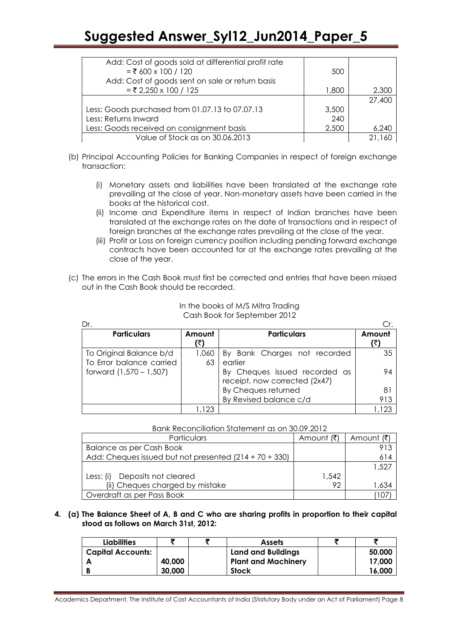| Add: Cost of goods sold at differential profit rate |       |        |
|-----------------------------------------------------|-------|--------|
| $=$ ₹ 600 x 100 / 120                               | 500   |        |
| Add: Cost of goods sent on sale or return basis     |       |        |
| $=$ ₹ 2,250 x 100 / 125                             | 1,800 | 2,300  |
|                                                     |       | 27,400 |
| Less: Goods purchased from 01.07.13 to 07.07.13     | 3,500 |        |
| Less: Returns Inward                                | 240   |        |
| Less: Goods received on consignment basis           | 2,500 | 6,240  |
| Value of Stock as on 30.06.2013                     |       |        |

- (b) Principal Accounting Policies for Banking Companies in respect of foreign exchange transaction:
	- (i) Monetary assets and liabilities have been translated at the exchange rate prevailing at the close of year. Non-monetary assets have been carried in the books at the historical cost.
	- (ii) Income and Expenditure items in respect of Indian branches have been translated at the exchange rates on the date of transactions and in respect of foreign branches at the exchange rates prevailing at the close of the year.
	- (iii) Profit or Loss on foreign currency position including pending forward exchange contracts have been accounted for at the exchange rates prevailing at the close of the year.
- (c) The errors in the Cash Book must first be corrected and entries that have been missed out in the Cash Book should be recorded.

| Dr.                                                 |               |                                                                |               |
|-----------------------------------------------------|---------------|----------------------------------------------------------------|---------------|
| <b>Particulars</b>                                  | Amount<br>(₹) | <b>Particulars</b>                                             | Amount<br>(₹) |
| To Original Balance b/d<br>To Error balance carried | 1,060         | By Bank Charges not recorded<br>earlier                        | 35            |
| forward (1,570 – 1,507)                             | 63            | By Cheques issued recorded as<br>receipt, now corrected (2x47) | 94            |
|                                                     |               | By Cheques returned                                            | 81            |
|                                                     |               | By Revised balance c/d                                         | 913           |
|                                                     | ,123          |                                                                |               |

### In the books of M/S Mitra Trading Cash Book for September 2012

|--|

| Particulars                                            | Amount (₹) | Amount (₹) |
|--------------------------------------------------------|------------|------------|
| Balance as per Cash Book                               |            | 913        |
| Add: Cheques issued but not presented (214 + 70 + 330) |            | 614        |
|                                                        |            | 1,527      |
| Less: (i) Deposits not cleared                         | 1,542      |            |
| (ii) Cheques charged by mistake                        | 92         | 1,634      |
| Overdraft as per Pass Book                             |            |            |

# **4. (a) The Balance Sheet of A, B and C who are sharing profits in proportion to their capital stood as follows on March 31st, 2012:**

| <b>Liabilities</b>       |        | <b>Assets</b>              |        |
|--------------------------|--------|----------------------------|--------|
| <b>Capital Accounts:</b> |        | <b>Land and Buildings</b>  | 50.000 |
|                          | 40,000 | <b>Plant and Machinery</b> | 17,000 |
|                          | 30,000 | <b>Stock</b>               | 16,000 |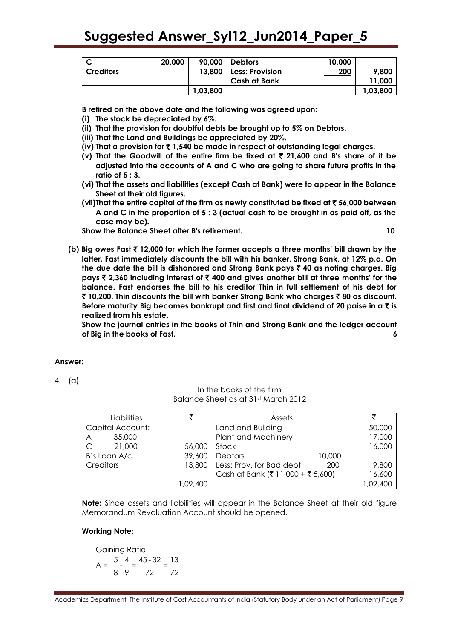|                  | 20,000 | 90,000   | Debtors                  | 10,000 |          |
|------------------|--------|----------|--------------------------|--------|----------|
| <b>Creditors</b> |        |          | 13,800   Less: Provision | 200    | 9,800    |
|                  |        |          | <b>Cash at Bank</b>      |        | 11,000   |
|                  |        | 1,03,800 |                          |        | 1,03,800 |

**B retired on the above date and the following was agreed upon:** 

- **(i) The stock be depreciated by 6%.**
- **(ii) That the provision for doubtful debts be brought up to 5% on Debtors.**
- **(iii) That the Land and Buildings be appreciated by 20%.**
- **(iv) That a provision for** ` **1,540 be made in respect of outstanding legal charges.**
- **(v) That the Goodwill of the entire firm be fixed at** ` **21,600 and B's share of it be adjusted into the accounts of A and C who are going to share future profits in the ratio of 5 : 3.**
- **(vi) That the assets and liabilities (except Cash at Bank) were to appear in the Balance Sheet at their old figures.**
- **(vii)That the entire capital of the firm as newly constituted be fixed at** ` **56,000 between A and C in the proportion of 5 : 3 (actual cash to be brought in as paid off, as the case may be).**

**Show the Balance Sheet after B's retirement. 10**

**(b) Big owes Fast** ` **12,000 for which the former accepts a three months' bill drawn by the latter. Fast immediately discounts the bill with his banker, Strong Bank, at 12% p.a. On the due date the bill is dishonored and Strong Bank pays** ` **40 as noting charges. Big pays** ` **2,360 including interest of** ` **400 and gives another bill at three months' for the balance. Fast endorses the bill to his creditor Thin in full settlement of his debt for**  ` **10,200. Thin discounts the bill with banker Strong Bank who charges** ` **80 as discount. Before maturity Big becomes bankrupt and first and final dividend of 20 paise in a** ` **is realized from his estate.**

**Show the journal entries in the books of Thin and Strong Bank and the ledger account of Big in the books of Fast. 6**

## **Answer:**

4. (a)

## In the books of the firm Balance Sheet as at 31st March 2012

| Liabilities              |          | Assets                                   |          |
|--------------------------|----------|------------------------------------------|----------|
| Capital Account:         |          | Land and Building                        | 50,000   |
| 35,000<br>$\overline{A}$ |          | Plant and Machinery                      | 17,000   |
| 21,000                   | 56,000   | Stock                                    | 16,000   |
| B's Loan A/c             | 39,600   | Debtors<br>10,000                        |          |
| Creditors                |          | 13,800   Less: Prov. for Bad debt<br>200 | 9,800    |
|                          |          | Cash at Bank (₹ 11,000 + ₹ 5,600)        | 16,600   |
|                          | 1,09,400 |                                          | 1,09,400 |

**Note:** Since assets and liabilities will appear in the Balance Sheet at their old figure Memorandum Revaluation Account should be opened.

## **Working Note:**

Gaining Ratio  $A = \frac{5}{2} - \frac{4}{3} = \frac{45 - 32}{3} = \frac{13}{3}$ 8 9 72 72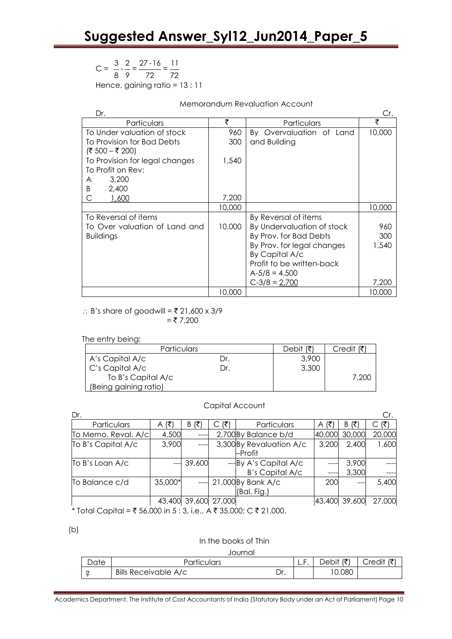# $C = \frac{3}{2} - \frac{2}{3} = \frac{27 - 16}{3} = \frac{11}{3}$ 8 9 72 72 Hence, gaining ratio = 13 : 11

# Memorandum Revaluation Account

| Dr.                            |        |                            | Cr.    |
|--------------------------------|--------|----------------------------|--------|
| Particulars                    | ₹      | Particulars                | ₹      |
| To Under valuation of stock    | 960    | By Overvaluation of Land   | 10,000 |
| To Provision for Bad Debts     | 300    | and Building               |        |
| (₹ 500 – ₹ 200)                |        |                            |        |
| To Provision for legal changes | 1,540  |                            |        |
| To Profit on Rev:              |        |                            |        |
| 3,200<br>A                     |        |                            |        |
| 2,400<br>B                     |        |                            |        |
| 1,600<br>С                     | 7,200  |                            |        |
|                                | 10,000 |                            | 10,000 |
| To Reversal of items           |        | By Reversal of items       |        |
| To Over valuation of Land and  | 10,000 | By Undervaluation of stock | 960    |
| <b>Buildings</b>               |        | By Prov. for Bad Debts     | 300    |
|                                |        | By Prov. for legal changes | 1,540  |
|                                |        | By Capital A/c             |        |
|                                |        | Profit to be written-back  |        |
|                                |        | $A-5/8 = 4,500$            |        |
|                                |        | $C-3/8 = 2,700$            | 7,200  |
|                                | 10,000 |                            | 10,000 |

 $\therefore$  B's share of goodwill =  $\overline{5}$  21,600 x 3/9  $= ₹7,200$ 

The entry being:

| <b>Particulars</b>    | Debit $(3)$ | Credit (₹) |       |
|-----------------------|-------------|------------|-------|
| A's Capital A/c       | Dr.         | 3,900      |       |
| C's Capital A/c       | Dr.         | 3,300      |       |
| To B's Capital A/c    |             |            | 7.200 |
| (Being gaining ratio) |             |            |       |

#### Capital Account

| Dr.                 |          |               |     |                          |         |        | Cr.    |
|---------------------|----------|---------------|-----|--------------------------|---------|--------|--------|
| Particulars         | (₹)<br>A | (₹)<br>B      | (₹) | Particulars              | A $(3)$ | B(₹)   | (₹)    |
| To Memo. Reval. A/c | 4,500    |               |     | 2,700 By Balance b/d     | 40,000  | 30,000 | 20,000 |
| To B's Capital A/c  | 3,900    |               |     | 3,300 By Revaluation A/c | 3,200   | 2,400  | 1,600  |
|                     |          |               |     | –Profit                  |         |        |        |
| To B's Loan A/c     |          | 39,600        |     | ---By A's Capital A/c    |         | 3,900  |        |
|                     |          |               |     | <b>B's Capital A/c</b>   |         | 3,300  |        |
| To Balance c/d      | 35,000*  |               |     | 21,000 By Bank A/c       | 200     | $---$  | 5,400  |
|                     |          |               |     | (Bal. Fig.)              |         |        |        |
|                     | 43.400   | 39,600 27,000 |     |                          | 43,400  | 39,600 | 27,000 |

\* Total Capital =  $\overline{\xi}$  56,000 in 5 : 3, i.e., A  $\overline{\xi}$  35,000; C  $\overline{\xi}$  21,000.

(b)

## In the books of Thin

# Journal

| Date | Particulars                 |     | <b>L.I.</b> | /₹<br>Debit | $C$ redit (₹ |
|------|-----------------------------|-----|-------------|-------------|--------------|
| ີ    | <b>Bills Receivable A/c</b> | Dr. |             | 10,080      |              |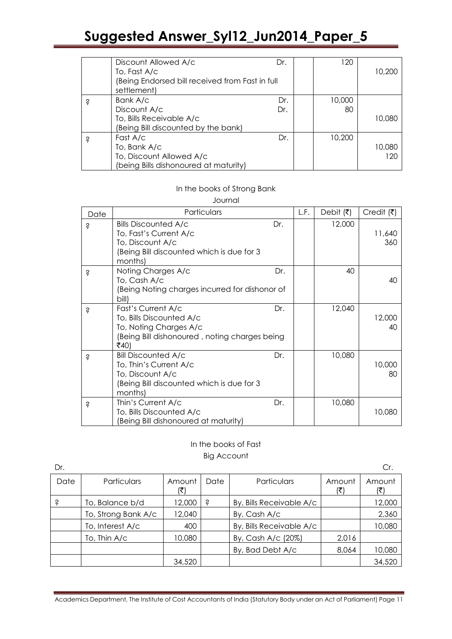|   | Discount Allowed A/c<br>To, Fast A/c<br>Being Endorsed bill received from Fast in full) | Dr. | 120    | 10,200 |
|---|-----------------------------------------------------------------------------------------|-----|--------|--------|
|   | settlement)                                                                             |     |        |        |
| S | Bank A/c                                                                                | Dr. | 10,000 |        |
|   | Discount A/c                                                                            | Dr. | 80     |        |
|   | To, Bills Receivable A/c                                                                |     |        | 10,080 |
|   | Being Bill discounted by the bank)                                                      |     |        |        |
| S | Fast A/c                                                                                | Dr. | 10,200 |        |
|   | To, Bank A/c                                                                            |     |        | 10,080 |
|   | To, Discount Allowed A/c                                                                |     |        | 120    |
|   | (being Bills dishonoured at maturity)                                                   |     |        |        |

# In the books of Strong Bank

Journal

| Date | Particulars                                                                                                                       |     | L.F. | Debit $(\overline{\tau})$ | Credit $(\overline{\mathbf{z}})$ |
|------|-----------------------------------------------------------------------------------------------------------------------------------|-----|------|---------------------------|----------------------------------|
| Ŝ    | <b>Bills Discounted A/c</b><br>To, Fast's Current A/c<br>To, Discount A/c<br>Being Bill discounted which is due for 3<br>months)  | Dr. |      | 12,000                    | 11,640<br>360                    |
| Ś    | Noting Charges A/c<br>To, Cash A/c<br>Being Noting charges incurred for dishonor of<br>bill)                                      | Dr. |      | 40                        | 40                               |
| Ś    | Fast's Current A/c<br>To, Bills Discounted A/c<br>To, Noting Charges A/c<br>(Being Bill dishonoured, noting charges being<br>₹40) | Dr. |      | 12,040                    | 12,000<br>40                     |
| Ś    | <b>Bill Discounted A/c</b><br>To, Thin's Current A/c<br>To, Discount A/c<br>(Being Bill discounted which is due for 3<br>months)  | Dr. |      | 10,080                    | 10,000<br>80                     |
| S    | Thin's Current A/c<br>To, Bills Discounted A/c<br>Being Bill dishonoured at maturity)                                             | Dr. |      | 10,080                    | 10,080                           |

# In the books of Fast Big Account

| Dr.  |                     |        |      |                          |               | Cr.           |
|------|---------------------|--------|------|--------------------------|---------------|---------------|
| Date | <b>Particulars</b>  | Amount | Date | Particulars              | Amount<br>(₹) | Amount<br>(₹) |
| Ś    | To, Balance b/d     | 12,000 | Ŝ    | By, Bills Receivable A/c |               | 12,000        |
|      | To, Strong Bank A/c | 12,040 |      | By, Cash A/c             |               | 2,360         |
|      | To, Interest A/c    | 400    |      | By, Bills Receivable A/c |               | 10,080        |
|      | To, Thin A/c        | 10,080 |      | By, Cash A/c (20%)       | 2,016         |               |
|      |                     |        |      | By, Bad Debt A/c         | 8,064         | 10,080        |
|      |                     | 34,520 |      |                          |               | 34,520        |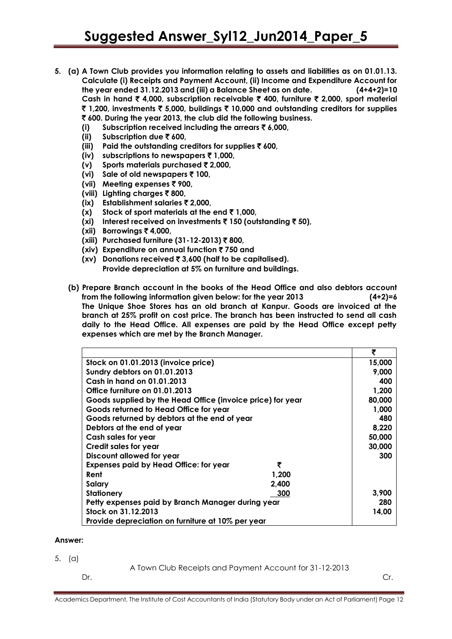- **5. (a) A Town Club provides you information relating to assets and liabilities as on 01.01.13. Calculate (i) Receipts and Payment Account, (ii) Income and Expenditure Account for the year ended 31.12.2013 and (iii) a Balance Sheet as on date. (4+4+2)=10 Cash in hand** ` **4,000, subscription receivable** ` **400, furniture** ` **2,000, sport material**  ` **1,200, investments** ` **5,000, buildings** ` **10,000 and outstanding creditors for supplies**  ` **600. During the year 2013, the club did the following business.**
	- **(i) Subscription received including the arrears** ` **6,000,**
	- **(ii) Subscription due** ` **600,**
	- **(iii) Paid the outstanding creditors for supplies** ` **600,**
	- **(iv) subscriptions to newspapers** ` **1,000,**
	- **(v) Sports materials purchased** ` **2,000,**
	- **(vi) Sale of old newspapers** ` **100,**
	- **(vii) Meeting expenses** ` **900,**
	- **(viii) Lighting charges** ` **800,**
	- **(ix) Establishment salaries** ` **2,000,**
	- **(x)** Stock of sport materials at the end  $\bar{\tau}$  1,000,
	- **(xi) Interest received on investments** ` **150 (outstanding** ` **50),**
	- **(xii) Borrowings** ` **4,000,**
	- **(xiii) Purchased furniture (31-12-2013)** ` **800,**
	- **(xiv) Expenditure on annual function** ` **750 and**
	- **(xv) Donations received** ` **3,600 (half to be capitalised). Provide depreciation at 5% on furniture and buildings.**
	- **(b) Prepare Branch account in the books of the Head Office and also debtors account from the following information given below: for the year 2013 (4+2)=6 The Unique Shoe Stores has an old branch at Kanpur. Goods are invoiced at the branch at 25% profit on cost price. The branch has been instructed to send all cash daily to the Head Office. All expenses are paid by the Head Office except petty expenses which are met by the Branch Manager.**

|                                                            | ₹      |  |
|------------------------------------------------------------|--------|--|
| Stock on 01.01.2013 (invoice price)                        | 15,000 |  |
| Sundry debtors on 01.01.2013                               | 9,000  |  |
| Cash in hand on 01.01.2013                                 | 400    |  |
| Office furniture on 01.01.2013                             | 1,200  |  |
| Goods supplied by the Head Office (invoice price) for year | 80,000 |  |
| Goods returned to Head Office for year                     | 1,000  |  |
| Goods returned by debtors at the end of year               | 480    |  |
| Debtors at the end of year                                 | 8,220  |  |
| Cash sales for year                                        | 50,000 |  |
| Credit sales for year                                      | 30,000 |  |
| Discount allowed for year                                  | 300    |  |
| ₹<br><b>Expenses paid by Head Office: for year</b>         |        |  |
| Rent<br>1,200                                              |        |  |
| 2,400<br><b>Salary</b>                                     |        |  |
| <b>Stationery</b><br>300                                   | 3,900  |  |
| Petty expenses paid by Branch Manager during year          |        |  |
| Stock on 31.12.2013                                        |        |  |
| Provide depreciation on furniture at 10% per year          |        |  |

## **Answer:**

- 5. (a)
- A Town Club Receipts and Payment Account for 31-12-2013

Dr. Cr.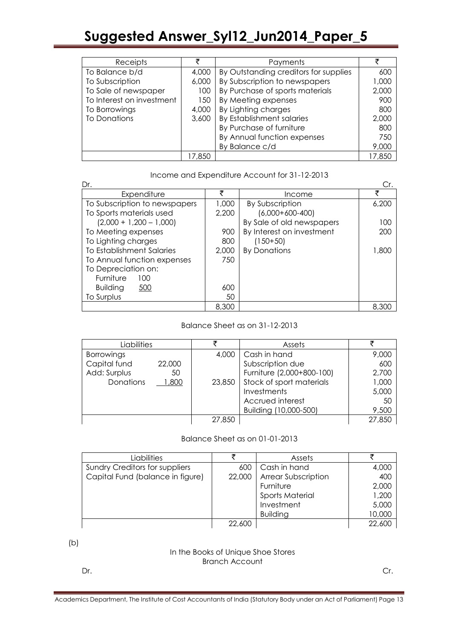| Receipts                  | ₹      | Payments                              | ₹      |
|---------------------------|--------|---------------------------------------|--------|
| To Balance b/d            | 4,000  | By Outstanding creditors for supplies | 600    |
| To Subscription           | 6,000  | By Subscription to newspapers         | 1,000  |
| To Sale of newspaper      | 100    | By Purchase of sports materials       | 2,000  |
| To Interest on investment | 150    | By Meeting expenses                   | 900    |
| To Borrowings             | 4,000  | By Lighting charges                   | 800    |
| <b>To Donations</b>       | 3,600  | By Establishment salaries             | 2,000  |
|                           |        | By Purchase of furniture              | 800    |
|                           |        | By Annual function expenses           | 750    |
|                           |        | By Balance c/d                        | 9,000  |
|                           | 17.850 |                                       | 17,850 |

Income and Expenditure Account for 31-12-2013

| Dr.                           |       |                           | Cr.   |
|-------------------------------|-------|---------------------------|-------|
| Expenditure                   | ₹     | Income                    | ₹     |
| To Subscription to newspapers | 1,000 | By Subscription           | 6,200 |
| To Sports materials used      | 2,200 | $(6,000+600-400)$         |       |
| $(2,000 + 1,200 - 1,000)$     |       | By Sale of old newspapers | 100   |
| To Meeting expenses           | 900   | By Interest on investment | 200   |
| To Lighting charges           | 800   | $(150+50)$                |       |
| To Establishment Salaries     | 2,000 | <b>By Donations</b>       | 1,800 |
| To Annual function expenses   | 750   |                           |       |
| To Depreciation on:           |       |                           |       |
| Furniture<br>100              |       |                           |       |
| 500<br><b>Building</b>        | 600   |                           |       |
| To Surplus                    | 50    |                           |       |
|                               | 8,300 |                           | 8,300 |

# Balance Sheet as on 31-12-2013

| Liabilities       |        |        | Assets                    |        |
|-------------------|--------|--------|---------------------------|--------|
| <b>Borrowings</b> |        | 4,000  | Cash in hand              | 9,000  |
| Capital fund      | 22,000 |        | Subscription due          | 600    |
| Add: Surplus      | 50     |        | Furniture (2,000+800-100) | 2,700  |
| Donations         | 800, ا | 23,850 | Stock of sport materials  | 1,000  |
|                   |        |        | Investments               | 5,000  |
|                   |        |        | Accrued interest          | 50     |
|                   |        |        | Building (10,000-500)     | 9,500  |
|                   |        | 27,850 |                           | 27,850 |

# Balance Sheet as on 01-01-2013

| Liabilities                           |        | Assets                     |        |
|---------------------------------------|--------|----------------------------|--------|
| <b>Sundry Creditors for suppliers</b> | 600    | Cash in hand               | 4,000  |
| Capital Fund (balance in figure)      | 22,000 | <b>Arrear Subscription</b> | 400    |
|                                       |        | Furniture                  | 2,000  |
|                                       |        | <b>Sports Material</b>     | 1,200  |
|                                       |        | Investment                 | 5,000  |
|                                       |        | <b>Building</b>            | 10,000 |
|                                       | 22,600 |                            | 22,600 |

(b)

# In the Books of Unique Shoe Stores Branch Account

Dr. Cr.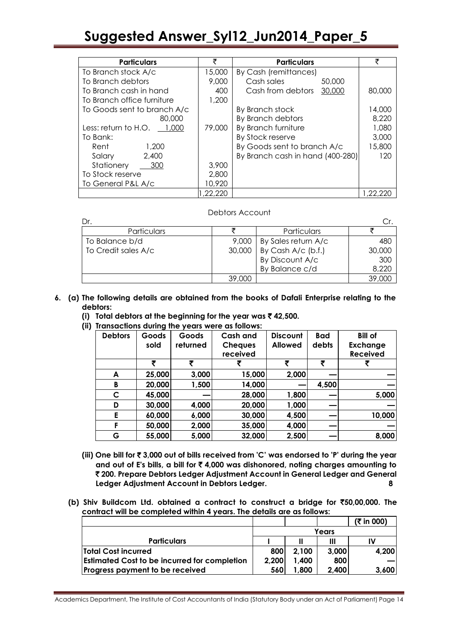| <b>Particulars</b>           | ₹       | <b>Particulars</b>               | ₹      |
|------------------------------|---------|----------------------------------|--------|
| To Branch stock A/c          | 15,000  | By Cash (remittances)            |        |
| To Branch debtors            | 9,000   | Cash sales<br>50,000             |        |
| To Branch cash in hand       | 400     | Cash from debtors<br>30,000      | 80,000 |
| To Branch office furniture   | 1,200   |                                  |        |
| To Goods sent to branch A/c  |         | By Branch stock                  | 14,000 |
| 80,000                       |         | By Branch debtors                | 8,220  |
| Less: return to $H.O.$ 1,000 | 79,000  | By Branch furniture              | 1,080  |
| To Bank:                     |         | By Stock reserve                 | 3,000  |
| 1,200<br>Rent                |         | By Goods sent to branch A/c      | 15,800 |
| 2,400<br>Salary              |         | By Branch cash in hand (400-280) | 120    |
| Stationery<br>300            | 3,900   |                                  |        |
| To Stock reserve             | 2,800   |                                  |        |
| To General P&L A/c           | 10,920  |                                  |        |
|                              | .22.220 |                                  |        |

## Debtors Account

| Dr.                 |        |                     |        |
|---------------------|--------|---------------------|--------|
| Particulars         |        | Particulars         |        |
| To Balance b/d      | 9,000  | By Sales return A/c | 480    |
| To Credit sales A/c | 30,000 | By Cash A/c (b.f.)  | 30,000 |
|                     |        | By Discount A/c     | 300    |
|                     |        | By Balance c/d      | 8,220  |
|                     | 39,000 |                     | 39,000 |

- **6. (a) The following details are obtained from the books of Dafali Enterprise relating to the debtors:** 
	- **(i) Total debtors at the beginning for the year was** ` **42,500.**
	- **(ii) Transactions during the years were as follows:**

| <b>Debtors</b> | Goods  | Goods    | <b>Cash and</b> | <b>Discount</b> | <b>Bad</b> | <b>Bill of</b>  |
|----------------|--------|----------|-----------------|-----------------|------------|-----------------|
|                | sold   | returned | <b>Cheques</b>  | <b>Allowed</b>  | debts      | <b>Exchange</b> |
|                |        |          | received        |                 |            | <b>Received</b> |
|                | ₹      | ₹        |                 | ₹               | ₹          |                 |
| A              | 25,000 | 3,000    | 15,000          | 2,000           |            |                 |
| B              | 20,000 | 1,500    | 14,000          |                 | 4,500      |                 |
| C              | 45,000 |          | 28,000          | 1,800           |            | 5,000           |
| D              | 30,000 | 4,000    | 20,000          | 1,000           |            |                 |
| E              | 60,000 | 6,000    | 30,000          | 4,500           |            | 10,000          |
| F              | 50,000 | 2,000    | 35,000          | 4,000           |            |                 |
| G              | 55,000 | 5,000    | 32,000          | 2,500           |            | 8,000           |

- **(iii) One bill for** ` **3,000 out of bills received from 'C' was endorsed to 'P' during the year and out of E's bills, a bill for** ` **4,000 was dishonored, noting charges amounting to**  ` **200. Prepare Debtors Ledger Adjustment Account in General Ledger and General Ledger Adjustment Account in Debtors Ledger. 8**
- **(b) Shiv Buildcom Ltd. obtained a contract to construct a bridge for** `**50,00,000. The contract will be completed within 4 years. The details are as follows:**

|                                                     |       |       |       | (₹ in 000) |
|-----------------------------------------------------|-------|-------|-------|------------|
|                                                     |       |       | Years |            |
| <b>Particulars</b>                                  |       |       | Ш     |            |
| <b>Total Cost incurred</b>                          | 800   | 2,100 | 3,000 | 4,200      |
| <b>Estimated Cost to be incurred for completion</b> | 2,200 | 1,400 | 800   |            |
| Progress payment to be received                     | 560   | 1,800 | 2,400 | 3,600      |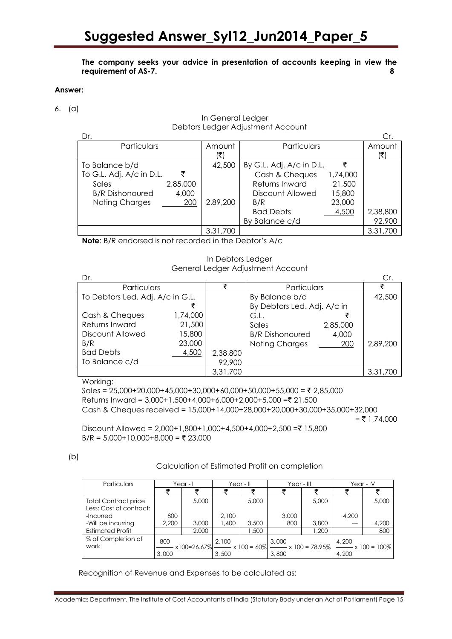**The company seeks your advice in presentation of accounts keeping in view the requirement of AS-7. 8**

#### **Answer:**

6. (a)

| Dr.                      |          |          |                          |          | Cr.      |
|--------------------------|----------|----------|--------------------------|----------|----------|
| Particulars              |          | Amount   | Particulars              |          | Amount   |
|                          |          | (₹       |                          |          | (₹)      |
| To Balance b/d           |          | 42,500   | By G.L. Adj. A/c in D.L. | ₹        |          |
| To G.L. Adj. A/c in D.L. | ₹        |          | Cash & Cheques           | 1,74,000 |          |
| Sales                    | 2,85,000 |          | Returns Inward           | 21,500   |          |
| <b>B/R Dishonoured</b>   | 4,000    |          | Discount Allowed         | 15,800   |          |
| Noting Charges           | 200      | 2,89,200 | B/R                      | 23,000   |          |
|                          |          |          | <b>Bad Debts</b>         | 4,500    | 2,38,800 |
|                          |          |          | Balance c/d<br>Bv        |          | 92,900   |
|                          |          | 3,31,700 |                          |          | 3,31,700 |

 In General Ledger Debtors Ledger Adjustment Account

**Note**: B/R endorsed is not recorded in the Debtor's A/c

In Debtors Ledger General Ledger Adjustment Account

| Dr.                              |          |          |                             |          | Cr.      |
|----------------------------------|----------|----------|-----------------------------|----------|----------|
| Particulars                      |          |          | Particulars                 |          |          |
| To Debtors Led. Adj. A/c in G.L. |          |          | By Balance b/d              |          | 42,500   |
|                                  |          |          | By Debtors Led. Adj. A/c in |          |          |
| Cash & Cheques                   | 1,74,000 |          | G.L.                        |          |          |
| Returns Inward                   | 21,500   |          | Sales                       | 2,85,000 |          |
| Discount Allowed                 | 15,800   |          | <b>B/R</b> Dishonoured      | 4,000    |          |
| B/R                              | 23,000   |          | Noting Charges              | 200      | 2,89,200 |
| <b>Bad Debts</b>                 | 4,500    | 2,38,800 |                             |          |          |
| To Balance c/d                   |          | 92,900   |                             |          |          |
|                                  |          | 3,31,700 |                             |          | 3,31,700 |

Working:

Sales =  $25,000+20,000+45,000+30,000+60,000+50,000+55,000 = ₹ 2,85,000$ Returns Inward = 3,000+1,500+4,000+6,000+2,000+5,000 =₹ 21,500 Cash & Cheques received = 15,000+14,000+28,000+20,000+30,000+35,000+32,000  $=$  ₹ 1,74,000  $Discount$  Allowed = 2,000+1,800+1,000+4,500+4,000+2,500 =₹ 15,800

 $B/R = 5,000+10,000+8,000 = ₹ 23,000$ 

| e e            |  |
|----------------|--|
| ٠<br>۰,<br>$-$ |  |

Calculation of Estimated Profit on completion

| Particulars                 | Year - I |       | Year - II |       | Year - III                                                                    |       | Year - IV |                            |
|-----------------------------|----------|-------|-----------|-------|-------------------------------------------------------------------------------|-------|-----------|----------------------------|
|                             |          |       |           |       |                                                                               |       |           |                            |
| <b>Total Contract price</b> |          | 5,000 |           | 5,000 |                                                                               | 5,000 |           | 5,000                      |
| Less: Cost of contract:     |          |       |           |       |                                                                               |       |           |                            |
| -Incurred                   | 800      |       | 2.100     |       | 3,000                                                                         |       | 4.200     |                            |
| -Will be incurring          | 2.200    | 3,000 | 400. ا    | 3,500 | 800                                                                           | 3,800 |           | 4,200                      |
| <b>Estimated Profit</b>     |          | 2,000 |           | 1.500 |                                                                               | 1.200 |           | 800                        |
| % of Completion of          | 800      |       | 2,100     |       | 3,000                                                                         |       | 4,200     |                            |
| work                        |          |       |           |       | $x100=26.67\%$ $\longrightarrow x100 = 60\%$ $\longrightarrow x100 = 78.95\%$ |       |           | $\frac{1}{2}$ x 100 = 100% |
|                             | 3,000    |       | 3.500     |       | 3,800                                                                         |       | 4,200     |                            |

Recognition of Revenue and Expenses to be calculated as: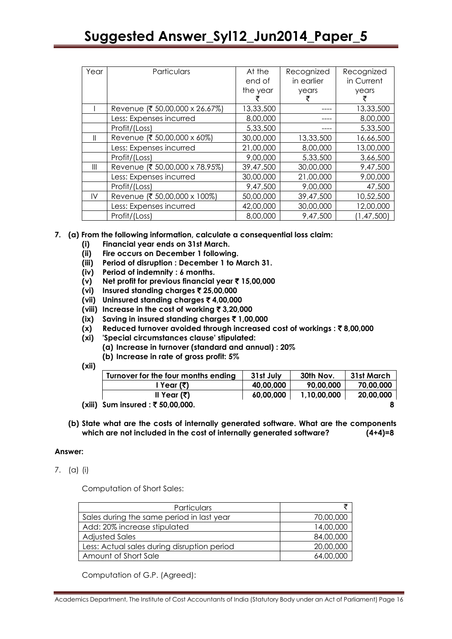| Year           | Particulars                    | At the<br>end of<br>the year | Recognized<br>in earlier<br>years | Recognized<br>in Current<br>years |
|----------------|--------------------------------|------------------------------|-----------------------------------|-----------------------------------|
|                | Revenue (₹ 50,00,000 x 26.67%) | 13,33,500                    |                                   | 13,33,500                         |
|                | Less: Expenses incurred        | 8,00,000                     |                                   | 8,00,000                          |
|                | Profit/(Loss)                  | 5,33,500                     |                                   | 5,33,500                          |
| Ш              | Revenue (₹ 50,00,000 x 60%)    | 30,00,000                    | 13,33,500                         | 16,66,500                         |
|                | Less: Expenses incurred        | 21,00,000                    | 8,00,000                          | 13,00,000                         |
|                | Profit/(Loss)                  | 9,00,000                     | 5,33,500                          | 3,66,500                          |
| $\mathbf{III}$ | Revenue (₹ 50,00,000 x 78.95%) | 39,47,500                    | 30,00,000                         | 9,47,500                          |
|                | Less: Expenses incurred        | 30,00,000                    | 21,00,000                         | 9,00,000                          |
|                | Profit/(Loss)                  | 9,47,500                     | 9,00,000                          | 47,500                            |
| IV             | Revenue (₹ 50,00,000 x 100%)   | 50,00,000                    | 39,47,500                         | 10,52,500                         |
|                | Less: Expenses incurred        | 42,00,000                    | 30,00,000                         | 12,00,000                         |
|                | Profit/(Loss)                  | 8,00,000                     | 9,47,500                          | (1, 47, 500)                      |

# **7. (a) From the following information, calculate a consequential loss claim:**

- **(i) Financial year ends on 31st March.**
- **(ii) Fire occurs on December 1 following.**
- **(iii) Period of disruption : December 1 to March 31.**
- **(iv) Period of indemnity : 6 months.**
- **(v) Net profit for previous financial year** ` **15,00,000**
- **(vi) Insured standing charges** ` **25,00,000**
- **(vii) Uninsured standing charges** ` **4,00,000**
- **(viii) Increase in the cost of working** ` **3,20,000**
- **(ix) Saving in insured standing charges** ` **1,00,000**
- **(x)** Reduced turnover avoided through increased cost of workings : ₹8,00,000
- **(xi) 'Special circumstances clause' stipulated:**
	- **(a) Increase in turnover (standard and annual) : 20%**
	- **(b) Increase in rate of gross profit: 5%**
- **(xii)**

|        | Turnover for the four months ending | 31st July | 30th Nov.   | 31st March |
|--------|-------------------------------------|-----------|-------------|------------|
|        | । Year (₹)                          | 40,00,000 | 90,00,000   | 70,00,000  |
|        | ll Year (र)                         | 60.00.000 | 1.10.00.000 | 20,00,000  |
| (xiii) | Sum insured : ₹ 50,00,000.          |           |             |            |

**(b) State what are the costs of internally generated software. What are the components which are not included in the cost of internally generated software? (4+4)=8**

## **Answer:**

7. (a) (i)

Computation of Short Sales:

| Particulars                                 |           |
|---------------------------------------------|-----------|
| Sales during the same period in last year   | 70,00,000 |
| Add: 20% increase stipulated                | 14,00,000 |
| <b>Adjusted Sales</b>                       | 84,00,000 |
| Less: Actual sales during disruption period | 20,00,000 |
| Amount of Short Sale                        | 64,00,000 |

Computation of G.P. (Agreed):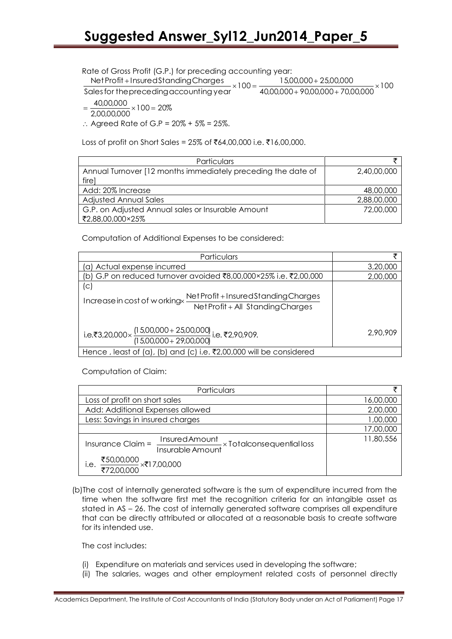Rate of Gross Profit (G.P.) for preceding accounting year:

re of Gross Protit (G.P.)<br>Net Profit + Insured Star<br>Nes for the preceding c<br>40,00,000 × 100 = 20% 100 ing year:<br>15,00,000 + 25,00,000<br>40,00,000 + 90,00,000 + 70,00,000 Rate of Gross Profit (G.P.) for preceding accounting year:<br>NetProfit + InsuredStandingCharges<br>Sales for the preceding accounting year  $\times 100 = \frac{15,00,000 + 25,00,000}{40,00,000 + 90,00,000 + 70,00}$ Net Profit + Insured Standing Charges  $\frac{15,00,000+25,00,000}{40,00,000+90,00,000+70,00,000}\times$  $+$ InsuredStandingCharges<br> $\times 100 = \frac{15,00,000+}{10000000}$ 

Net Prom +<br>ales for the<br>40,00,000<br>2,00,00,000  $=\frac{48,88,888}{6,8888888} \times 100=$ 

∴ Agreed Rate of G.P =  $20\% + 5\% = 25\%$ .

Loss of profit on Short Sales =  $25\%$  of ₹64,00,000 i.e. ₹16,00,000.

| Particulars                                                  |             |
|--------------------------------------------------------------|-------------|
| Annual Turnover [12 months immediately preceding the date of | 2,40,00,000 |
| firel                                                        |             |
| Add: 20% Increase                                            | 48,00,000   |
| <b>Adjusted Annual Sales</b>                                 | 2,88,00,000 |
| G.P. on Adjusted Annual sales or Insurable Amount            | 72,00,000   |
| ₹2,88,00,000×25%                                             |             |

Computation of Additional Expenses to be considered:

| Particulars                                                                                                       | ヺ        |
|-------------------------------------------------------------------------------------------------------------------|----------|
| (a) Actual expense incurred                                                                                       | 3,20,000 |
| (b) G.P on reduced turnover avoided ₹8,00,000×25% i.e. ₹2,00,000                                                  | 2,00,000 |
| (C)<br>Net Profit + Insured Standing Charges<br>Increase in cost of workingx<br>Net Profit + All Standing Charges |          |
| i.e.₹3,20,000× $\frac{(15,00,000+25,00,000)}{(15,00,000+29,00,000)}$ i.e.₹2,90,909.                               | 2,90,909 |
| Hence, least of (a), (b) and (c) i.e. $\overline{3}2,00,000$ will be considered                                   |          |

Computation of Claim:

| Particulars                                                                       | チ         |
|-----------------------------------------------------------------------------------|-----------|
| Loss of profit on short sales                                                     | 16,00,000 |
| Add: Additional Expenses allowed                                                  | 2,00,000  |
| Less: Savings in insured charges                                                  | 1,00,000  |
|                                                                                   | 17,00,000 |
| Insured Amount<br>Insurable Amount × Totalconsequential loss<br>Insurance Claim = | 11,80,556 |
| $\frac{$50,00,000}{$72,00,000}$ ×₹17,00,000<br>i.e.                               |           |

(b)The cost of internally generated software is the sum of expenditure incurred from the time when the software first met the recognition criteria for an intangible asset as stated in AS – 26. The cost of internally generated software comprises all expenditure that can be directly attributed or allocated at a reasonable basis to create software for its intended use.

The cost includes:

- (i) Expenditure on materials and services used in developing the software;
- (ii) The salaries, wages and other employment related costs of personnel directly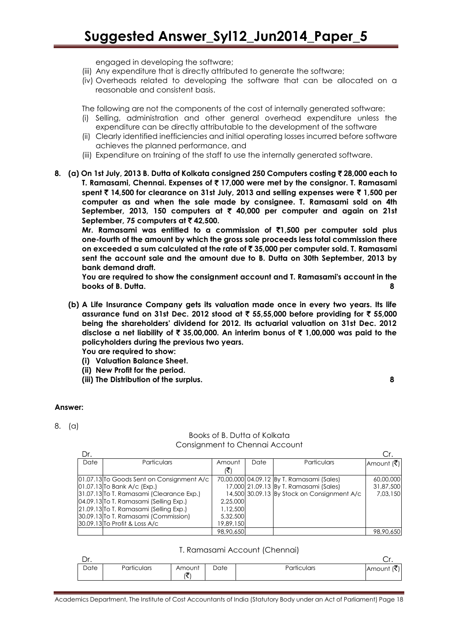engaged in developing the software;

- (iii) Any expenditure that is directly attributed to generate the software;
- (iv) Overheads related to developing the software that can be allocated on a reasonable and consistent basis.

The following are not the components of the cost of internally generated software:

- (i) Selling, administration and other general overhead expenditure unless the expenditure can be directly attributable to the development of the software
- (ii) Clearly identified inefficiencies and initial operating losses incurred before software achieves the planned performance, and
- (iii) Expenditure on training of the staff to use the internally generated software.

## **8. (a) On 1st July, 2013 B. Dutta of Kolkata consigned 250 Computers costing** ` **28,000 each to T. Ramasami, Chennai. Expenses of** ` **17,000 were met by the consignor. T. Ramasami spent** ` **14,500 for clearance on 31st July, 2013 and selling expenses were** ` **1,500 per computer as and when the sale made by consignee. T. Ramasami sold on 4th September, 2013, 150 computers at** ` **40,000 per computer and again on 21st September, 75 computers at ₹42,500.**

**Mr. Ramasami was entitled to a commission of** `**1,500 per computer sold plus one-fourth of the amount by which the gross sale proceeds less total commission there on exceeded a sum calculated at the rate of** ` **35,000 per computer sold. T. Ramasami sent the account sale and the amount due to B. Dutta on 30th September, 2013 by bank demand draft.** 

**You are required to show the consignment account and T. Ramasami's account in the books of B. Dutta. 8**

**(b) A Life Insurance Company gets its valuation made once in every two years. Its life assurance fund on 31st Dec. 2012 stood at** ` **55,55,000 before providing for** ` **55,000 being the shareholders' dividend for 2012. Its actuarial valuation on 31st Dec. 2012 disclose a net liability of** ` **35,00,000. An interim bonus of** ` **1,00,000 was paid to the policyholders during the previous two years.**

**You are required to show:**

- **(i) Valuation Balance Sheet.**
- **(ii) New Profit for the period.**
- **(iii) The Distribution of the surplus. 8**

#### **Answer:**

8. (a)

# Books of B. Dutta of Kolkata Consignment to Chennai Account

| Dr.  |                                           |           |      |                                             |            |
|------|-------------------------------------------|-----------|------|---------------------------------------------|------------|
| Date | <b>Particulars</b>                        | Amount    | Date | Particulars                                 | Amount (₹) |
|      |                                           |           |      |                                             |            |
|      | 01.07.13 To Goods Sent on Consignment A/c |           |      | 70,00,000 04.09.12 By T. Ramasami (Sales)   | 60,00,000  |
|      | $[01.07.13]$ To Bank A/c (Exp.)           |           |      | 17,000 21.09.13 By T. Ramasami (Sales)      | 31,87,500  |
|      | 31.07.13 To T. Ramasami (Clearance Exp.)  |           |      | 14,500 30.09.13 By Stock on Consignment A/c | 7.03.150   |
|      | 04.09.13 To T. Ramasami (Selling Exp.)    | 2,25,000  |      |                                             |            |
|      | 21.09.13 To T. Ramasami (Selling Exp.)    | 1,12,500  |      |                                             |            |
|      | 30.09.13 To T. Ramasami (Commission)      | 5,32,500  |      |                                             |            |
|      | 30.09.13 To Profit & Loss A/c             | 19,89,150 |      |                                             |            |
|      |                                           | 98,90,650 |      |                                             | 98,90,650  |

#### T. Ramasami Account (Chennai)

| $\Gamma$<br>ᆈ. |             |             |      |             | . اب   |
|----------------|-------------|-------------|------|-------------|--------|
| Date           | Particulars | Amount<br>ヽ | Date | Particulars | Amount |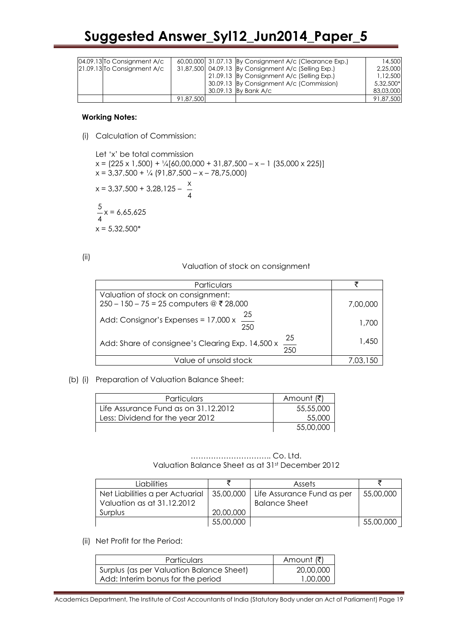|  | 04.09.13 To Consignment A/c |           | 60,00,000 31.07.13 By Consignment A/c (Clearance Exp.) | 14,500    |
|--|-----------------------------|-----------|--------------------------------------------------------|-----------|
|  | 21.09.13 To Consignment A/c |           | 31,87,500 04.09.13 By Consignment A/c (Selling Exp.)   | 2,25,000  |
|  |                             |           | 21.09.13 By Consignment A/c (Selling Exp.)             | 1.12.500  |
|  |                             |           | 30.09.13 By Consignment A/c (Commission)               | 5,32,500* |
|  |                             |           | 30.09.13 By Bank A/c                                   | 83,03,000 |
|  |                             | 91,87,500 |                                                        | 91,87,500 |

#### **Working Notes:**

(i) Calculation of Commission:

Let 'x' be total commission  $x = (225 \times 1,500) + \frac{1}{4} [60,00,000 + 31,87,500 - x - 1] (35,000 \times 225)]$  $x = 3,37,500 + \frac{1}{4} (91,87,500 - x - 78,75,000)$  $x = 3,37,500 + 3,28,125 - \frac{x}{x}$ 4 5 4 x = 6,65,625  $x = 5,32,500*$ 

(ii)

Valuation of stock on consignment

| Particulars                                                               |          |
|---------------------------------------------------------------------------|----------|
| Valuation of stock on consignment:                                        |          |
| $250 - 150 - 75 = 25$ computers @ ₹ 28,000                                | 7,00,000 |
| $\frac{25}{250}$<br>Add: Consignor's Expenses = 17,000 x                  | 1,700    |
| $\frac{25}{1}$<br>Add: Share of consignee's Clearing Exp. 14,500 x<br>250 | 1,450    |
| Value of unsold stock                                                     | 7.03.150 |
|                                                                           |          |

## (b) (i) Preparation of Valuation Balance Sheet:

| <b>Particulars</b>                   | Amount (₹) |
|--------------------------------------|------------|
| Life Assurance Fund as on 31.12.2012 | 55,55,000  |
| Less: Dividend for the year 2012     | 55,000     |
|                                      | 55,00,000  |

#### ………………………….. Co. Ltd. Valuation Balance Sheet as at 31st December 2012

| <b>Liabilities</b>              |           | <b>Assets</b>              |           |
|---------------------------------|-----------|----------------------------|-----------|
| Net Liabilities a per Actuarial | 35,00,000 | Life Assurance Fund as per | 55,00,000 |
| Valuation as at 31.12.2012      |           | <b>Balance Sheet</b>       |           |
| Surplus                         | 20,00,000 |                            |           |
|                                 | 55,00,000 |                            | 55,00,000 |

## (ii) Net Profit for the Period:

| <b>Particulars</b>                       | Amount (₹) |
|------------------------------------------|------------|
| Surplus (as per Valuation Balance Sheet) | 20,00,000  |
| Add: Interim bonus for the period        | 1,00,000   |